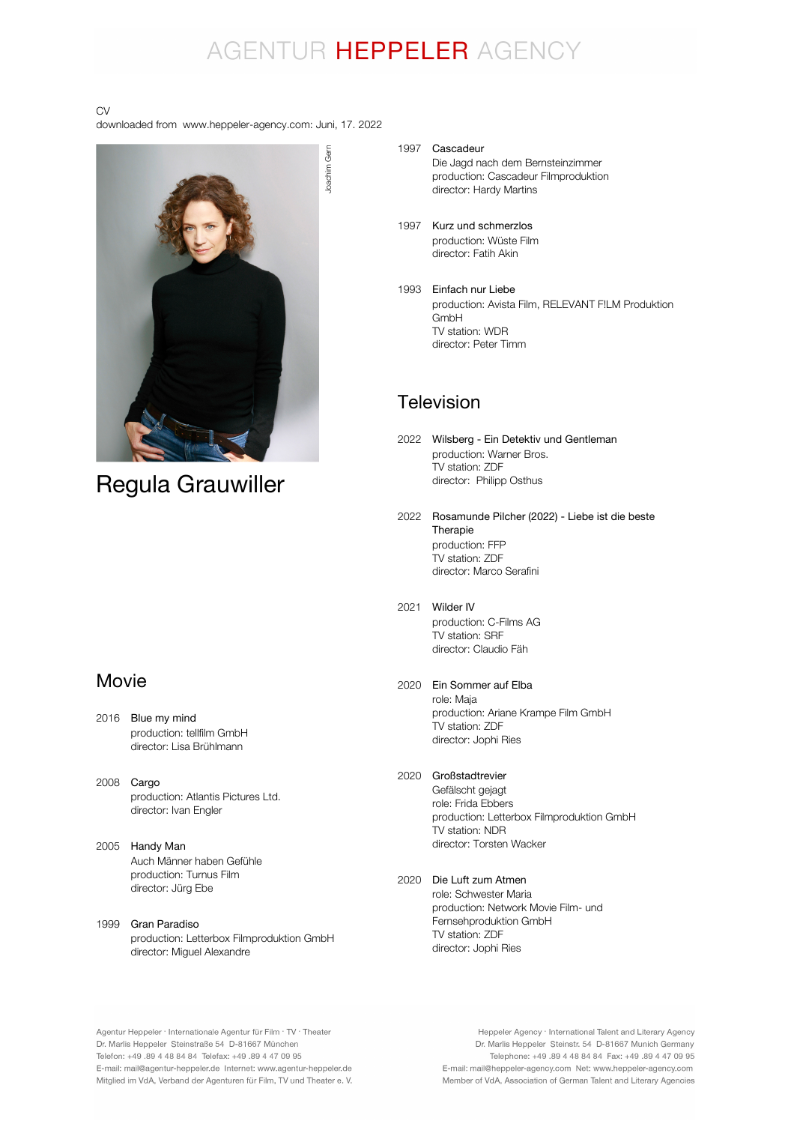## AGENTUR HEPPELER AGENCY

#### CV

downloaded from www.heppeler-agency.com: Juni, 17. 2022



## Regula Grauwiller

### Movie

- 2016 Blue my mind production: tellfilm GmbH director: Lisa Brühlmann
- 2008 Cargo production: Atlantis Pictures Ltd. director: Ivan Engler
- 2005 Handy Man Auch Männer haben Gefühle production: Turnus Film director: Jürg Ebe

#### 1999 Gran Paradiso production: Letterbox Filmproduktion GmbH director: Miguel Alexandre

1997 Cascadeur Die Jagd nach dem Bernsteinzimmer production: Cascadeur Filmproduktion director: Hardy Martins

- 1997 Kurz und schmerzlos production: Wüste Film director: Fatih Akin
- 1993 Einfach nur Liebe production: Avista Film, RELEVANT F!LM Produktion GmbH TV station: WDR director: Peter Timm

## Television

- 2022 Wilsberg Ein Detektiv und Gentleman production: Warner Bros. TV station: ZDF director: Philipp Osthus
- 2022 Rosamunde Pilcher (2022) Liebe ist die beste production: FFP TV station: ZDF director: Marco Serafini Therapie
- 2021 Wilder IV production: C-Films AG TV station: SRF director: Claudio Fäh
- 2020 Ein Sommer auf Elba role: Maja production: Ariane Krampe Film GmbH TV station: ZDF director: Jophi Ries

#### 2020 Großstadtrevier

Gefälscht gejagt role: Frida Ebbers production: Letterbox Filmproduktion GmbH TV station: NDR director: Torsten Wacker

#### 2020 Die Luft zum Atmen

role: Schwester Maria production: Network Movie Film- und Fernsehproduktion GmbH TV station: ZDF director: Jophi Ries

Agentur Heppeler · Internationale Agentur für Film · TV · Theater Dr. Marlis Heppeler Steinstraße 54 D-81667 München Telefon: +49.89 4 48 84 84 Telefax: +49.89 4 47 09 95 E-mail: mail@agentur-heppeler.de Internet: www.agentur-heppeler.de Mitglied im VdA, Verband der Agenturen für Film, TV und Theater e. V.

Heppeler Agency · International Talent and Literary Agency Dr. Marlis Heppeler Steinstr. 54 D-81667 Munich Germany Telephone: +49 .89 4 48 84 84 Fax: +49 .89 4 47 09 95 E-mail: mail@heppeler-agency.com Net: www.heppeler-agency.com Member of VdA, Association of German Talent and Literary Agencies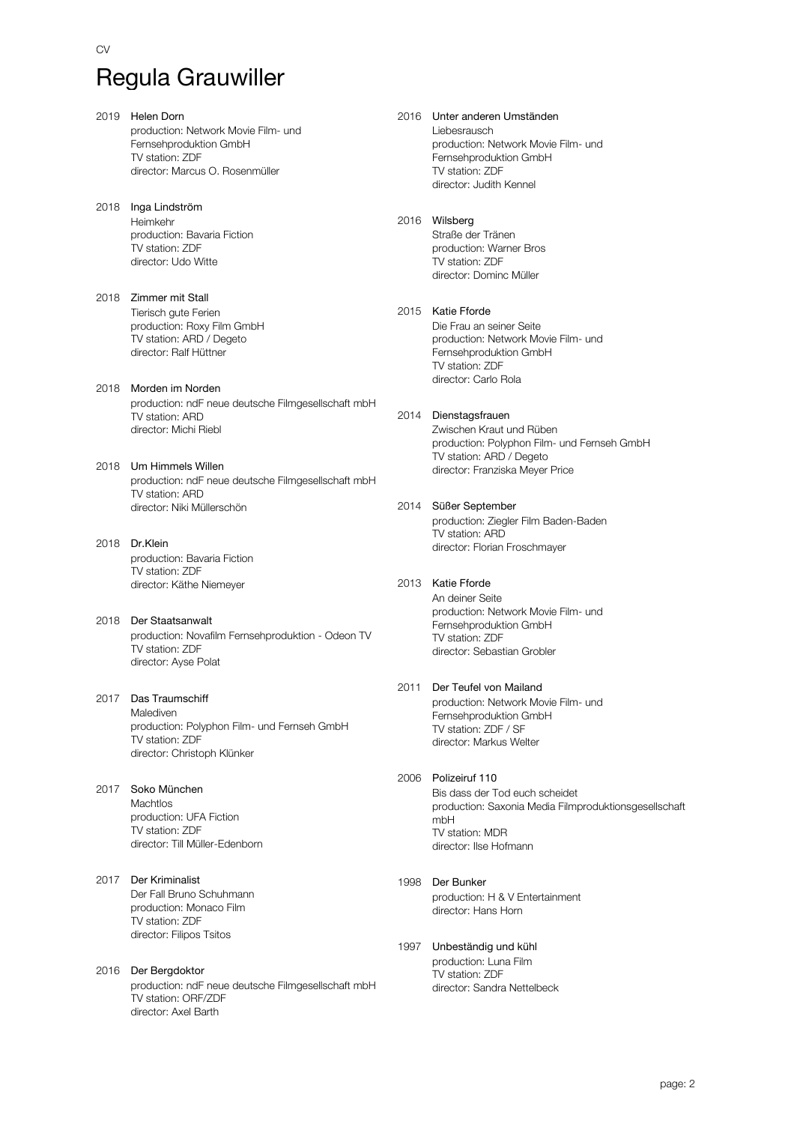# Regula Grauwiller

- 2019 Helen Dorn production: Network Movie Film- und Fernsehproduktion GmbH TV station: ZDF director: Marcus O. Rosenmüller
- 2018 Inga Lindström Heimkehr production: Bavaria Fiction TV station: ZDF director: Udo Witte
- 2018 Zimmer mit Stall Tierisch gute Ferien production: Roxy Film GmbH TV station: ARD / Degeto director: Ralf Hüttner
- 2018 Morden im Norden production: ndF neue deutsche Filmgesellschaft mbH TV station: ARD director: Michi Riebl
- 2018 Um Himmels Willen production: ndF neue deutsche Filmgesellschaft mbH TV station: ARD director: Niki Müllerschön
- 2018 Dr.Klein production: Bavaria Fiction TV station: ZDF director: Käthe Niemeyer
- 2018 Der Staatsanwalt production: Novafilm Fernsehproduktion - Odeon TV TV station: ZDF director: Ayse Polat
- 2017 Das Traumschiff Malediven production: Polyphon Film- und Fernseh GmbH TV station: ZDF director: Christoph Klünker
- 2017 Soko München Machtlos production: UFA Fiction TV station: ZDF director: Till Müller-Edenborn
- 2017 Der Kriminalist Der Fall Bruno Schuhmann production: Monaco Film TV station: ZDF director: Filipos Tsitos
- 2016 Der Bergdoktor production: ndF neue deutsche Filmgesellschaft mbH TV station: ORF/ZDF director: Axel Barth
- 2016 Unter anderen Umständen Liebesrausch production: Network Movie Film- und Fernsehproduktion GmbH TV station: ZDF director: Judith Kennel
- 2016 Wilsberg Straße der Tränen production: Warner Bros TV station: ZDF director: Dominc Müller
- 2015 Katie Fforde Die Frau an seiner Seite production: Network Movie Film- und Fernsehproduktion GmbH TV station: ZDF director: Carlo Rola
- 2014 Dienstagsfrauen Zwischen Kraut und Rüben production: Polyphon Film- und Fernseh GmbH TV station: ARD / Degeto director: Franziska Meyer Price
- 2014 Süßer September production: Ziegler Film Baden-Baden TV station: ARD director: Florian Froschmayer
- 2013 Katie Fforde An deiner Seite production: Network Movie Film- und Fernsehproduktion GmbH TV station: ZDF director: Sebastian Grobler
- 2011 Der Teufel von Mailand production: Network Movie Film- und Fernsehproduktion GmbH TV station: ZDF / SF director: Markus Welter
- 2006 Polizeiruf 110 Bis dass der Tod euch scheidet production: Saxonia Media Filmproduktionsgesellschaft mbH TV station: MDR director: Ilse Hofmann
- 1998 Der Bunker production: H & V Entertainment director: Hans Horn
- 1997 Unbeständig und kühl production: Luna Film TV station: ZDF director: Sandra Nettelbeck